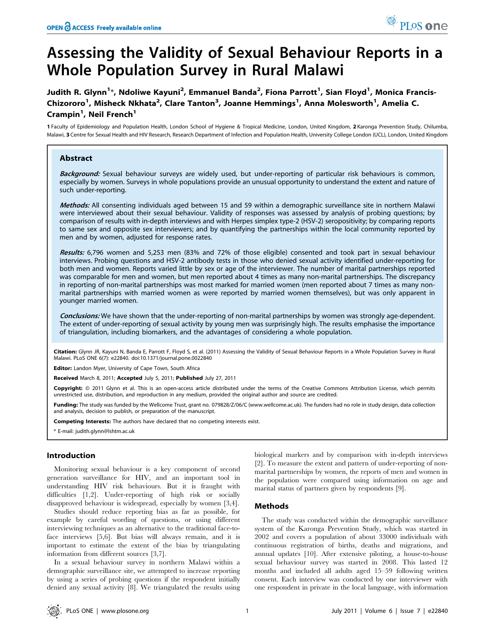# Assessing the Validity of Sexual Behaviour Reports in a Whole Population Survey in Rural Malawi

Judith R. Glynn<sup>1</sup>\*, Ndoliwe Kayuni<sup>2</sup>, Emmanuel Banda<sup>2</sup>, Fiona Parrott<sup>1</sup>, Sian Floyd<sup>1</sup>, Monica Francis-Chizororo<sup>1</sup>, Misheck Nkhata<sup>2</sup>, Clare Tanton<sup>3</sup>, Joanne Hemmings<sup>1</sup>, Anna Molesworth<sup>1</sup>, Amelia C. Crampin<sup>1</sup>, Neil French<sup>1</sup>

1 Faculty of Epidemiology and Population Health, London School of Hygiene & Tropical Medicine, London, United Kingdom, 2 Karonga Prevention Study, Chilumba, Malawi, 3 Centre for Sexual Health and HIV Research, Research Department of Infection and Population Health, University College London (UCL), London, United Kingdom

# Abstract

Background: Sexual behaviour surveys are widely used, but under-reporting of particular risk behaviours is common, especially by women. Surveys in whole populations provide an unusual opportunity to understand the extent and nature of such under-reporting.

Methods: All consenting individuals aged between 15 and 59 within a demographic surveillance site in northern Malawi were interviewed about their sexual behaviour. Validity of responses was assessed by analysis of probing questions; by comparison of results with in-depth interviews and with Herpes simplex type-2 (HSV-2) seropositivity; by comparing reports to same sex and opposite sex interviewers; and by quantifying the partnerships within the local community reported by men and by women, adjusted for response rates.

Results: 6,796 women and 5,253 men (83% and 72% of those eligible) consented and took part in sexual behaviour interviews. Probing questions and HSV-2 antibody tests in those who denied sexual activity identified under-reporting for both men and women. Reports varied little by sex or age of the interviewer. The number of marital partnerships reported was comparable for men and women, but men reported about 4 times as many non-marital partnerships. The discrepancy in reporting of non-marital partnerships was most marked for married women (men reported about 7 times as many nonmarital partnerships with married women as were reported by married women themselves), but was only apparent in younger married women.

Conclusions: We have shown that the under-reporting of non-marital partnerships by women was strongly age-dependent. The extent of under-reporting of sexual activity by young men was surprisingly high. The results emphasise the importance of triangulation, including biomarkers, and the advantages of considering a whole population.

Citation: Glynn JR, Kayuni N, Banda E, Parrott F, Floyd S, et al. (2011) Assessing the Validity of Sexual Behaviour Reports in a Whole Population Survey in Rural Malawi. PLoS ONE 6(7): e22840. doi:10.1371/journal.pone.0022840

Editor: Landon Myer, University of Cape Town, South Africa

Received March 8, 2011; Accepted July 5, 2011; Published July 27, 2011

Copyright: © 2011 Glynn et al. This is an open-access article distributed under the terms of the Creative Commons Attribution License, which permits unrestricted use, distribution, and reproduction in any medium, provided the original author and source are credited.

Funding: The study was funded by the Wellcome Trust, grant no. 079828/Z/06/C (www.wellcome.ac.uk). The funders had no role in study design, data collection and analysis, decision to publish, or preparation of the manuscript.

Competing Interests: The authors have declared that no competing interests exist.

\* E-mail: judith.glynn@lshtm.ac.uk

## Introduction

Monitoring sexual behaviour is a key component of second generation surveillance for HIV, and an important tool in understanding HIV risk behaviours. But it is fraught with difficulties [1,2]. Under-reporting of high risk or socially disapproved behaviour is widespread, especially by women [3,4].

Studies should reduce reporting bias as far as possible, for example by careful wording of questions, or using different interviewing techniques as an alternative to the traditional face-toface interviews [5,6]. But bias will always remain, and it is important to estimate the extent of the bias by triangulating information from different sources [3,7].

In a sexual behaviour survey in northern Malawi within a demographic surveillance site, we attempted to increase reporting by using a series of probing questions if the respondent initially denied any sexual activity [8]. We triangulated the results using

biological markers and by comparison with in-depth interviews [2]. To measure the extent and pattern of under-reporting of nonmarital partnerships by women, the reports of men and women in the population were compared using information on age and marital status of partners given by respondents [9].

## Methods

The study was conducted within the demographic surveillance system of the Karonga Prevention Study, which was started in 2002 and covers a population of about 33000 individuals with continuous registration of births, deaths and migrations, and annual updates [10]. After extensive piloting, a house-to-house sexual behaviour survey was started in 2008. This lasted 12 months and included all adults aged 15–59 following written consent. Each interview was conducted by one interviewer with one respondent in private in the local language, with information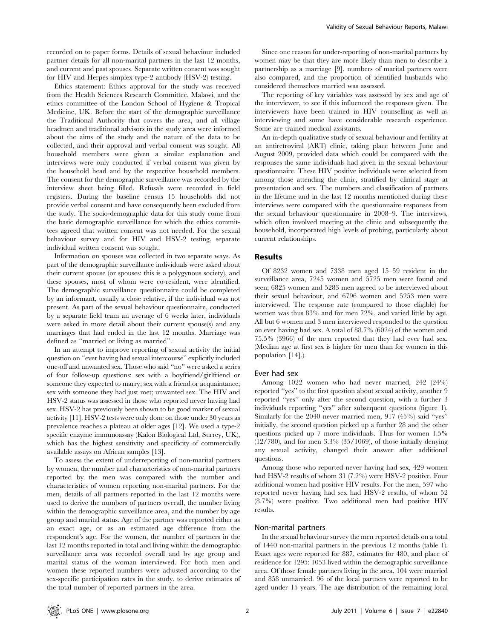recorded on to paper forms. Details of sexual behaviour included partner details for all non-marital partners in the last 12 months, and current and past spouses. Separate written consent was sought for HIV and Herpes simplex type-2 antibody (HSV-2) testing.

Ethics statement: Ethics approval for the study was received from the Health Sciences Research Committee, Malawi, and the ethics committee of the London School of Hygiene & Tropical Medicine, UK. Before the start of the demographic surveillance the Traditional Authority that covers the area, and all village headmen and traditional advisors in the study area were informed about the aims of the study and the nature of the data to be collected, and their approval and verbal consent was sought. All household members were given a similar explanation and interviews were only conducted if verbal consent was given by the household head and by the respective household members. The consent for the demographic surveillance was recorded by the interview sheet being filled. Refusals were recorded in field registers. During the baseline census 15 households did not provide verbal consent and have consequently been excluded from the study. The socio-demographic data for this study come from the basic demographic surveillance for which the ethics committees agreed that written consent was not needed. For the sexual behaviour survey and for HIV and HSV-2 testing, separate individual written consent was sought.

Information on spouses was collected in two separate ways. As part of the demographic surveillance individuals were asked about their current spouse (or spouses: this is a polygynous society), and these spouses, most of whom were co-resident, were identified. The demographic surveillance questionnaire could be completed by an informant, usually a close relative, if the individual was not present. As part of the sexual behaviour questionnaire, conducted by a separate field team an average of 6 weeks later, individuals were asked in more detail about their current spouse(s) and any marriages that had ended in the last 12 months. Marriage was defined as ''married or living as married''.

In an attempt to improve reporting of sexual activity the initial question on ''ever having had sexual intercourse'' explicitly included one-off and unwanted sex. Those who said ''no'' were asked a series of four follow-up questions: sex with a boyfriend/girlfriend or someone they expected to marry; sex with a friend or acquaintance; sex with someone they had just met; unwanted sex. The HIV and HSV-2 status was assessed in those who reported never having had sex. HSV-2 has previously been shown to be good marker of sexual activity [11]. HSV-2 tests were only done on those under 30 years as prevalence reaches a plateau at older ages [12]. We used a type-2 specific enzyme immunoassay (Kalon Biological Ltd, Surrey, UK), which has the highest sensitivity and specificity of commercially available assays on African samples [13].

To assess the extent of underreporting of non-marital partners by women, the number and characteristics of non-marital partners reported by the men was compared with the number and characteristics of women reporting non-marital partners. For the men, details of all partners reported in the last 12 months were used to derive the numbers of partners overall, the number living within the demographic surveillance area, and the number by age group and marital status. Age of the partner was reported either as an exact age, or as an estimated age difference from the respondent's age. For the women, the number of partners in the last 12 months reported in total and living within the demographic surveillance area was recorded overall and by age group and marital status of the woman interviewed. For both men and women these reported numbers were adjusted according to the sex-specific participation rates in the study, to derive estimates of the total number of reported partners in the area.

Since one reason for under-reporting of non-marital partners by women may be that they are more likely than men to describe a partnership as a marriage [9], numbers of marital partners were also compared, and the proportion of identified husbands who considered themselves married was assessed.

The reporting of key variables was assessed by sex and age of the interviewer, to see if this influenced the responses given. The interviewers have been trained in HIV counselling as well as interviewing and some have considerable research experience. Some are trained medical assistants.

An in-depth qualitative study of sexual behaviour and fertility at an antiretroviral (ART) clinic, taking place between June and August 2009, provided data which could be compared with the responses the same individuals had given in the sexual behaviour questionnaire. These HIV positive individuals were selected from among those attending the clinic, stratified by clinical stage at presentation and sex. The numbers and classification of partners in the lifetime and in the last 12 months mentioned during these interviews were compared with the questionnaire responses from the sexual behaviour questionnaire in 2008–9. The interviews, which often involved meeting at the clinic and subsequently the household, incorporated high levels of probing, particularly about current relationships.

#### Results

Of 8232 women and 7338 men aged 15–59 resident in the surveillance area, 7245 women and 5725 men were found and seen; 6825 women and 5283 men agreed to be interviewed about their sexual behaviour, and 6796 women and 5253 men were interviewed. The response rate (compared to those eligible) for women was thus 83% and for men 72%, and varied little by age. All but 6 women and 3 men interviewed responded to the question on ever having had sex. A total of 88.7% (6024) of the women and 75.5% (3966) of the men reported that they had ever had sex. (Median age at first sex is higher for men than for women in this population [14].).

#### Ever had sex

Among 1022 women who had never married, 242 (24%) reported ''yes'' to the first question about sexual activity, another 9 reported ''yes'' only after the second question, with a further 3 individuals reporting ''yes'' after subsequent questions (figure 1). Similarly for the 2040 never married men, 917 (45%) said ''yes'' initially, the second question picked up a further 28 and the other questions picked up 7 more individuals. Thus for women 1.5% (12/780), and for men 3.3% (35/1069), of those initially denying any sexual activity, changed their answer after additional questions.

Among those who reported never having had sex, 429 women had HSV-2 results of whom 31 (7.2%) were HSV-2 positive. Four additional women had positive HIV results. For the men, 597 who reported never having had sex had HSV-2 results, of whom 52 (8.7%) were positive. Two additional men had positive HIV results.

### Non-marital partners

In the sexual behaviour survey the men reported details on a total of 1440 non-marital partners in the previous 12 months (table 1). Exact ages were reported for 887, estimates for 480, and place of residence for 1295: 1053 lived within the demographic surveillance area. Of those female partners living in the area, 104 were married and 858 unmarried. 96 of the local partners were reported to be aged under 15 years. The age distribution of the remaining local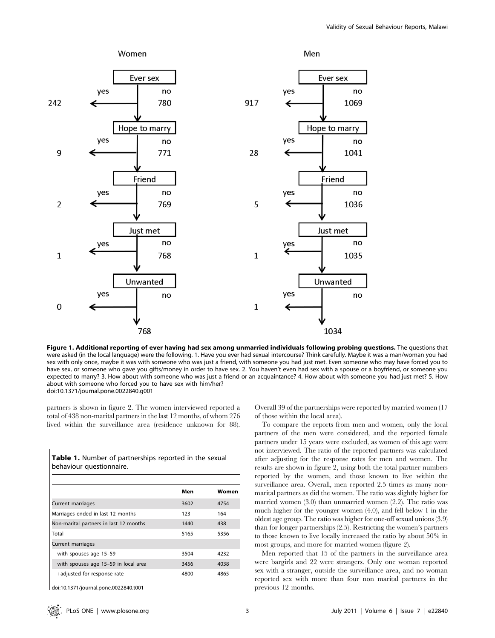

Figure 1. Additional reporting of ever having had sex among unmarried individuals following probing questions. The questions that were asked (in the local language) were the following. 1. Have you ever had sexual intercourse? Think carefully. Maybe it was a man/woman you had sex with only once, maybe it was with someone who was just a friend, with someone you had just met. Even someone who may have forced you to have sex, or someone who gave you gifts/money in order to have sex. 2. You haven't even had sex with a spouse or a boyfriend, or someone you expected to marry? 3. How about with someone who was just a friend or an acquaintance? 4. How about with someone you had just met? 5. How about with someone who forced you to have sex with him/her? doi:10.1371/journal.pone.0022840.g001

partners is shown in figure 2. The women interviewed reported a total of 438 non-marital partners in the last 12 months, of whom 276 lived within the surveillance area (residence unknown for 88).

Table 1. Number of partnerships reported in the sexual behaviour questionnaire.

|                                        | Men  | Women |
|----------------------------------------|------|-------|
| Current marriages                      | 3602 | 4754  |
| Marriages ended in last 12 months      | 123  | 164   |
| Non-marital partners in last 12 months | 1440 | 438   |
| Total                                  | 5165 | 5356  |
| Current marriages                      |      |       |
| with spouses age 15-59                 | 3504 | 4232  |
| with spouses age 15-59 in local area   | 3456 | 4038  |
| +adjusted for response rate            | 4800 | 4865  |

doi:10.1371/journal.pone.0022840.t001

Overall 39 of the partnerships were reported by married women (17 of those within the local area).

To compare the reports from men and women, only the local partners of the men were considered, and the reported female partners under 15 years were excluded, as women of this age were not interviewed. The ratio of the reported partners was calculated after adjusting for the response rates for men and women. The results are shown in figure 2, using both the total partner numbers reported by the women, and those known to live within the surveillance area. Overall, men reported 2.5 times as many nonmarital partners as did the women. The ratio was slightly higher for married women (3.0) than unmarried women (2.2). The ratio was much higher for the younger women (4.0), and fell below 1 in the oldest age group. The ratio was higher for one-off sexual unions (3.9) than for longer partnerships (2.5). Restricting the women's partners to those known to live locally increased the ratio by about 50% in most groups, and more for married women (figure 2).

Men reported that 15 of the partners in the surveillance area were bargirls and 22 were strangers. Only one woman reported sex with a stranger, outside the surveillance area, and no woman reported sex with more than four non marital partners in the previous 12 months.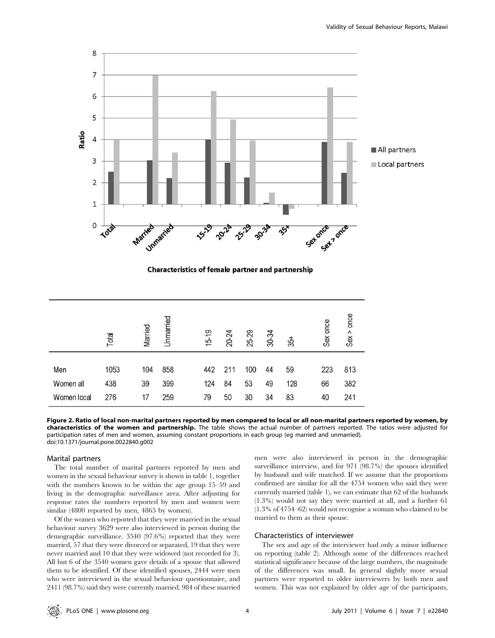

**Characteristics of female partner and partnership** 

|                  | Total       | Married   | Unmarried  |    | $15 - 19$  | 20-24     | 25-29     | 30-34    | చ్గే      | once<br>Sex | once<br>Sex |
|------------------|-------------|-----------|------------|----|------------|-----------|-----------|----------|-----------|-------------|-------------|
| Men<br>Women all | 1053<br>438 | 104<br>39 | 858<br>399 |    | 442<br>124 | 211<br>84 | 100<br>53 | 44<br>49 | 59<br>128 | 223<br>66   | 813<br>382  |
| Women local      | 276         | 17        | 259        | 79 |            | 50        | 30        | 34       | 83        | 40          | 241         |

Figure 2. Ratio of local non-marital partners reported by men compared to local or all non-marital partners reported by women, by characteristics of the women and partnership. The table shows the actual number of partners reported. The ratios were adjusted for participation rates of men and women, assuming constant proportions in each group (eg married and unmarried). doi:10.1371/journal.pone.0022840.g002

#### Marital partners

The total number of marital partners reported by men and women in the sexual behaviour survey is shown in table 1, together with the numbers known to be within the age group 15–59 and living in the demographic surveillance area. After adjusting for response rates the numbers reported by men and women were similar (4800 reported by men, 4865 by women).

Of the women who reported that they were married in the sexual behaviour survey 3629 were also interviewed in person during the demographic surveillance. 3540 (97.6%) reported that they were married, 57 that they were divorced or separated, 19 that they were never married and 10 that they were widowed (not recorded for 3). All but 6 of the 3540 women gave details of a spouse that allowed them to be identified. Of these identified spouses, 2444 were men who were interviewed in the sexual behaviour questionnaire, and 2411 (98.7%) said they were currently married. 984 of these married men were also interviewed in person in the demographic surveillance interview, and for 971 (98.7%) the spouses identified by husband and wife matched. If we assume that the proportions confirmed are similar for all the 4754 women who said they were currently married (table 1), we can estimate that 62 of the husbands (1.3%) would not say they were married at all, and a further 61 (1.3% of 4754–62) would not recognise a woman who claimed to be married to them as their spouse.

# Characteristics of interviewer

The sex and age of the interviewer had only a minor influence on reporting (table 2). Although some of the differences reached statistical significance because of the large numbers, the magnitude of the differences was small. In general slightly more sexual partners were reported to older interviewers by both men and women. This was not explained by older age of the participants,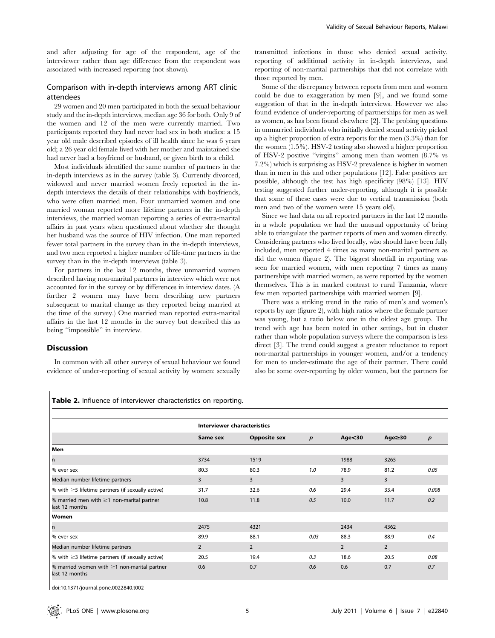and after adjusting for age of the respondent, age of the interviewer rather than age difference from the respondent was associated with increased reporting (not shown).

# Comparison with in-depth interviews among ART clinic attendees

29 women and 20 men participated in both the sexual behaviour study and the in-depth interviews, median age 36 for both. Only 9 of the women and 12 of the men were currently married. Two participants reported they had never had sex in both studies: a 15 year old male described episodes of ill health since he was 6 years old; a 26 year old female lived with her mother and maintained she had never had a boyfriend or husband, or given birth to a child.

Most individuals identified the same number of partners in the in-depth interviews as in the survey (table 3). Currently divorced, widowed and never married women freely reported in the indepth interviews the details of their relationships with boyfriends, who were often married men. Four unmarried women and one married woman reported more lifetime partners in the in-depth interviews, the married woman reporting a series of extra-marital affairs in past years when questioned about whether she thought her husband was the source of HIV infection. One man reported fewer total partners in the survey than in the in-depth interviews, and two men reported a higher number of life-time partners in the survey than in the in-depth interviews (table 3).

For partners in the last 12 months, three unmarried women described having non-marital partners in interview which were not accounted for in the survey or by differences in interview dates. (A further 2 women may have been describing new partners subsequent to marital change as they reported being married at the time of the survey.) One married man reported extra-marital affairs in the last 12 months in the survey but described this as being ''impossible'' in interview.

# Discussion

In common with all other surveys of sexual behaviour we found evidence of under-reporting of sexual activity by women: sexually

transmitted infections in those who denied sexual activity, reporting of additional activity in in-depth interviews, and reporting of non-marital partnerships that did not correlate with those reported by men.

Some of the discrepancy between reports from men and women could be due to exaggeration by men [9], and we found some suggestion of that in the in-depth interviews. However we also found evidence of under-reporting of partnerships for men as well as women, as has been found elsewhere [2]. The probing questions in unmarried individuals who initially denied sexual activity picked up a higher proportion of extra reports for the men (3.3%) than for the women (1.5%). HSV-2 testing also showed a higher proportion of HSV-2 positive ''virgins'' among men than women (8.7% vs 7.2%) which is surprising as HSV-2 prevalence is higher in women than in men in this and other populations [12]. False positives are possible, although the test has high specificity (98%) [13]. HIV testing suggested further under-reporting, although it is possible that some of these cases were due to vertical transmission (both men and two of the women were 15 years old).

Since we had data on all reported partners in the last 12 months in a whole population we had the unusual opportunity of being able to triangulate the partner reports of men and women directly. Considering partners who lived locally, who should have been fully included, men reported 4 times as many non-marital partners as did the women (figure 2). The biggest shortfall in reporting was seen for married women, with men reporting 7 times as many partnerships with married women, as were reported by the women themselves. This is in marked contrast to rural Tanzania, where few men reported partnerships with married women [9].

There was a striking trend in the ratio of men's and women's reports by age (figure 2), with high ratios where the female partner was young, but a ratio below one in the oldest age group. The trend with age has been noted in other settings, but in cluster rather than whole population surveys where the comparison is less direct [3]. The trend could suggest a greater reluctance to report non-marital partnerships in younger women, and/or a tendency for men to under-estimate the age of their partner. There could also be some over-reporting by older women, but the partners for

Table 2. Influence of interviewer characteristics on reporting.

|                                                                     | <b>Interviewer characteristics</b> |                     |                  |                |                |       |  |
|---------------------------------------------------------------------|------------------------------------|---------------------|------------------|----------------|----------------|-------|--|
|                                                                     | Same sex                           | <b>Opposite sex</b> | $\boldsymbol{p}$ | Age < 30       | Age≥30         | p     |  |
| Men                                                                 |                                    |                     |                  |                |                |       |  |
| l n                                                                 | 3734                               | 1519                |                  | 1988           | 3265           |       |  |
| % ever sex                                                          | 80.3                               | 80.3                | 1.0              | 78.9           | 81.2           | 0.05  |  |
| Median number lifetime partners                                     | 3                                  | 3                   |                  | 3              | 3              |       |  |
| $\%$ with $\geq$ 5 lifetime partners (if sexually active)           | 31.7                               | 32.6                | 0.6              | 29.4           | 33.4           | 0.008 |  |
| % married men with $\geq$ 1 non-marital partner<br>last 12 months   | 10.8                               | 11.8                | 0.5              | 10.0           | 11.7           | 0.2   |  |
| Women                                                               |                                    |                     |                  |                |                |       |  |
| l n                                                                 | 2475                               | 4321                |                  | 2434           | 4362           |       |  |
| % ever sex                                                          | 89.9                               | 88.1                | 0.03             | 88.3           | 88.9           | 0.4   |  |
| Median number lifetime partners                                     | $\overline{2}$                     | $\overline{2}$      |                  | $\overline{2}$ | $\overline{2}$ |       |  |
| $\%$ with $\geq$ 3 lifetime partners (if sexually active)           | 20.5                               | 19.4                | 0.3              | 18.6           | 20.5           | 0.08  |  |
| % married women with $\geq$ 1 non-marital partner<br>last 12 months | 0.6                                | 0.7                 | 0.6              | 0.6            | 0.7            | 0.7   |  |

doi:10.1371/journal.pone.0022840.t002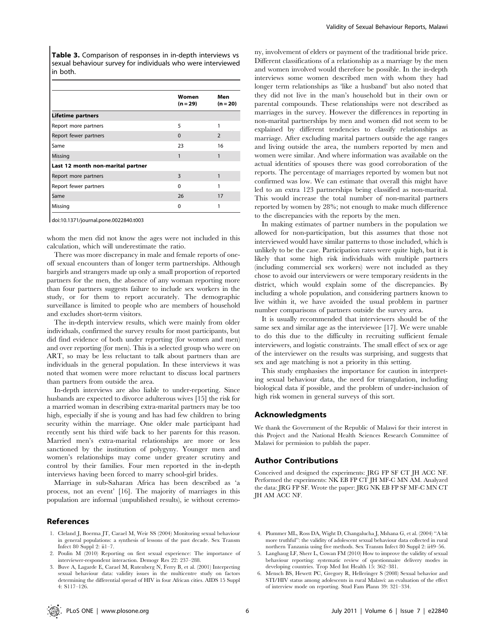Table 3. Comparison of responses in in-depth interviews vs sexual behaviour survey for individuals who were interviewed in both.

|                                   | Women<br>$(n = 29)$ | Men<br>$(n = 20)$ |
|-----------------------------------|---------------------|-------------------|
| <b>Lifetime partners</b>          |                     |                   |
| Report more partners              | 5                   |                   |
| Report fewer partners             | $\Omega$            | $\overline{2}$    |
| Same                              | 23                  | 16                |
| Missing                           | 1                   | 1                 |
| Last 12 month non-marital partner |                     |                   |
| Report more partners              | 3                   |                   |
| Report fewer partners             | ŋ                   |                   |
| Same                              | 26                  | 17                |
| Missing                           | $\Omega$            |                   |

doi:10.1371/journal.pone.0022840.t003

whom the men did not know the ages were not included in this calculation, which will underestimate the ratio.

There was more discrepancy in male and female reports of oneoff sexual encounters than of longer term partnerships. Although bargirls and strangers made up only a small proportion of reported partners for the men, the absence of any woman reporting more than four partners suggests failure to include sex workers in the study, or for them to report accurately. The demographic surveillance is limited to people who are members of household and excludes short-term visitors.

The in-depth interview results, which were mainly from older individuals, confirmed the survey results for most participants, but did find evidence of both under reporting (for women and men) and over reporting (for men). This is a selected group who were on ART, so may be less reluctant to talk about partners than are individuals in the general population. In these interviews it was noted that women were more reluctant to discuss local partners than partners from outside the area.

In-depth interviews are also liable to under-reporting. Since husbands are expected to divorce adulterous wives [15] the risk for a married woman in describing extra-marital partners may be too high, especially if she is young and has had few children to bring security within the marriage. One older male participant had recently sent his third wife back to her parents for this reason. Married men's extra-marital relationships are more or less sanctioned by the institution of polygyny. Younger men and women's relationships may come under greater scrutiny and control by their families. Four men reported in the in-depth interviews having been forced to marry school-girl brides.

Marriage in sub-Saharan Africa has been described as 'a process, not an event' [16]. The majority of marriages in this population are informal (unpublished results), ie without ceremo-

#### References

- 1. Cleland J, Boerma JT, Carael M, Weir SS (2004) Monitoring sexual behaviour in general populations: a synthesis of lessons of the past decade. Sex Transm Infect 80 Suppl 2: ii1–7.
- 2. Poulin M (2010) Reporting on first sexual experience: The importance of interviewer-respondent interaction. Demogr Res 22: 237–288.
- 3. Buve A, Lagarde E, Carael M, Rutenberg N, Ferry B, et al. (2001) Interpreting sexual behaviour data: validity issues in the multicentre study on factors determining the differential spread of HIV in four African cities. AIDS 15 Suppl 4: S117–126.

ny, involvement of elders or payment of the traditional bride price. Different classifications of a relationship as a marriage by the men and women involved would therefore be possible. In the in-depth interviews some women described men with whom they had longer term relationships as 'like a husband' but also noted that they did not live in the man's household but in their own or parental compounds. These relationships were not described as marriages in the survey. However the differences in reporting in non-marital partnerships by men and women did not seem to be explained by different tendencies to classify relationships as marriage. After excluding marital partners outside the age ranges and living outside the area, the numbers reported by men and women were similar. And where information was available on the actual identities of spouses there was good corroboration of the reports. The percentage of marriages reported by women but not confirmed was low. We can estimate that overall this might have led to an extra 123 partnerships being classified as non-marital. This would increase the total number of non-marital partners reported by women by 28%; not enough to make much difference to the discrepancies with the reports by the men.

In making estimates of partner numbers in the population we allowed for non-participation, but this assumes that those not interviewed would have similar patterns to those included, which is unlikely to be the case. Participation rates were quite high, but it is likely that some high risk individuals with multiple partners (including commercial sex workers) were not included as they chose to avoid our interviewers or were temporary residents in the district, which would explain some of the discrepancies. By including a whole population, and considering partners known to live within it, we have avoided the usual problem in partner number comparisons of partners outside the survey area.

It is usually recommended that interviewers should be of the same sex and similar age as the interviewee [17]. We were unable to do this due to the difficulty in recruiting sufficient female interviewers, and logistic constraints. The small effect of sex or age of the interviewer on the results was surprising, and suggests that sex and age matching is not a priority in this setting.

This study emphasises the importance for caution in interpreting sexual behaviour data, the need for triangulation, including biological data if possible, and the problem of under-inclusion of high risk women in general surveys of this sort.

## Acknowledgments

We thank the Government of the Republic of Malawi for their interest in this Project and the National Health Sciences Research Committee of Malawi for permission to publish the paper.

#### Author Contributions

Conceived and designed the experiments: JRG FP SF CT JH ACC NF. Performed the experiments: NK EB FP CT JH MF-C MN AM. Analyzed the data: JRG FP SF. Wrote the paper: JRG NK EB FP SF MF-C MN CT JH AM ACC NF.

- 4. Plummer ML, Ross DA, Wight D, Changalucha J, Mshana G, et al. (2004) ''A bit more truthful'': the validity of adolescent sexual behaviour data collected in rural northern Tanzania using five methods. Sex Transm Infect 80 Suppl 2: ii49–56.
- 5. Langhaug LF, Sherr L, Cowan FM (2010) How to improve the validity of sexual behaviour reporting: systematic review of questionnaire delivery modes in developing countries. Trop Med Int Health 15: 362–381.
- 6. Mensch BS, Hewett PC, Gregory R, Helleringer S (2008) Sexual behavior and STI/HIV status among adolescents in rural Malawi: an evaluation of the effect of interview mode on reporting. Stud Fam Plann 39: 321–334.